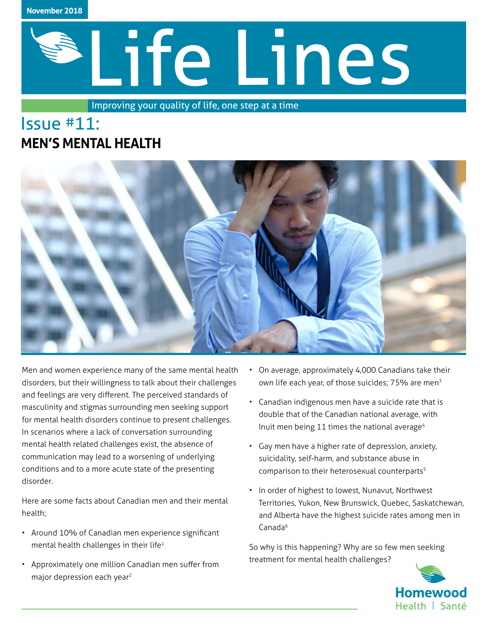

# Life Lines

Improving your quality of life, one step at a time

# Issue #11: **MEN'S MENTAL HEALTH**



Men and women experience many of the same mental health disorders, but their willingness to talk about their challenges and feelings are very different. The perceived standards of masculinity and stigmas surrounding men seeking support for mental health disorders continue to present challenges. In scenarios where a lack of conversation surrounding mental health related challenges exist, the absence of communication may lead to a worsening of underlying conditions and to a more acute state of the presenting disorder.

Here are some facts about Canadian men and their mental health;

- Around 10% of Canadian men experience significant mental health challenges in their life<sup>1</sup>
- Approximately one million Canadian men suffer from major depression each year2
- On average, approximately 4,000 Canadians take their own life each year, of those suicides; 75% are men<sup>3</sup>
- Canadian indigenous men have a suicide rate that is double that of the Canadian national average, with Inuit men being 11 times the national average<sup>4</sup>
- Gay men have a higher rate of depression, anxiety, suicidality, self-harm, and substance abuse in comparison to their heterosexual counterparts<sup>5</sup>
- In order of highest to lowest, Nunavut, Northwest Territories, Yukon, New Brunswick, Quebec, Saskatchewan, and Alberta have the highest suicide rates among men in Canada<sup>6</sup>

So why is this happening? Why are so few men seeking treatment for mental health challenges?

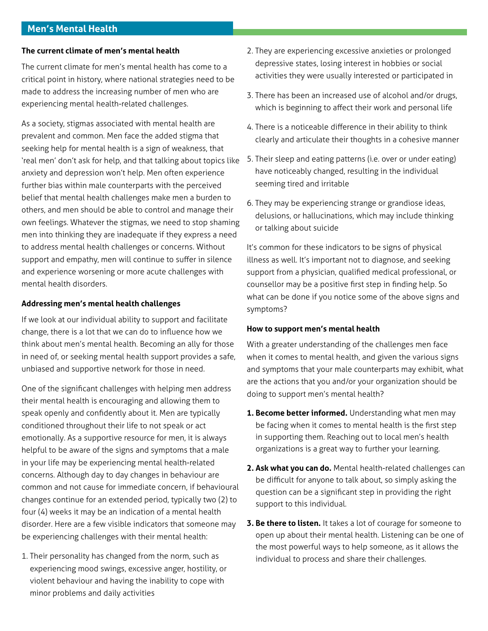# **Men's Mental Health**

#### **The current climate of men's mental health**

The current climate for men's mental health has come to a critical point in history, where national strategies need to be made to address the increasing number of men who are experiencing mental health-related challenges.

As a society, stigmas associated with mental health are prevalent and common. Men face the added stigma that seeking help for mental health is a sign of weakness, that 'real men' don't ask for help, and that talking about topics like anxiety and depression won't help. Men often experience further bias within male counterparts with the perceived belief that mental health challenges make men a burden to others, and men should be able to control and manage their own feelings. Whatever the stigmas, we need to stop shaming men into thinking they are inadequate if they express a need to address mental health challenges or concerns. Without support and empathy, men will continue to suffer in silence and experience worsening or more acute challenges with mental health disorders.

#### **Addressing men's mental health challenges**

If we look at our individual ability to support and facilitate change, there is a lot that we can do to influence how we think about men's mental health. Becoming an ally for those in need of, or seeking mental health support provides a safe, unbiased and supportive network for those in need.

One of the significant challenges with helping men address their mental health is encouraging and allowing them to speak openly and confidently about it. Men are typically conditioned throughout their life to not speak or act emotionally. As a supportive resource for men, it is always helpful to be aware of the signs and symptoms that a male in your life may be experiencing mental health-related concerns. Although day to day changes in behaviour are common and not cause for immediate concern, if behavioural changes continue for an extended period, typically two (2) to four (4) weeks it may be an indication of a mental health disorder. Here are a few visible indicators that someone may be experiencing challenges with their mental health:

1. Their personality has changed from the norm, such as experiencing mood swings, excessive anger, hostility, or violent behaviour and having the inability to cope with minor problems and daily activities

- 2. They are experiencing excessive anxieties or prolonged depressive states, losing interest in hobbies or social activities they were usually interested or participated in
- 3. There has been an increased use of alcohol and/or drugs, which is beginning to affect their work and personal life
- 4. There is a noticeable difference in their ability to think clearly and articulate their thoughts in a cohesive manner
- 5. Their sleep and eating patterns (i.e. over or under eating) have noticeably changed, resulting in the individual seeming tired and irritable
- 6. They may be experiencing strange or grandiose ideas, delusions, or hallucinations, which may include thinking or talking about suicide

It's common for these indicators to be signs of physical illness as well. It's important not to diagnose, and seeking support from a physician, qualified medical professional, or counsellor may be a positive first step in finding help. So what can be done if you notice some of the above signs and symptoms?

### **How to support men's mental health**

With a greater understanding of the challenges men face when it comes to mental health, and given the various signs and symptoms that your male counterparts may exhibit, what are the actions that you and/or your organization should be doing to support men's mental health?

- **1. Become better informed.** Understanding what men may be facing when it comes to mental health is the first step in supporting them. Reaching out to local men's health organizations is a great way to further your learning.
- **2. Ask what you can do.** Mental health-related challenges can be difficult for anyone to talk about, so simply asking the question can be a significant step in providing the right support to this individual.
- **3. Be there to listen.** It takes a lot of courage for someone to open up about their mental health. Listening can be one of the most powerful ways to help someone, as it allows the individual to process and share their challenges.